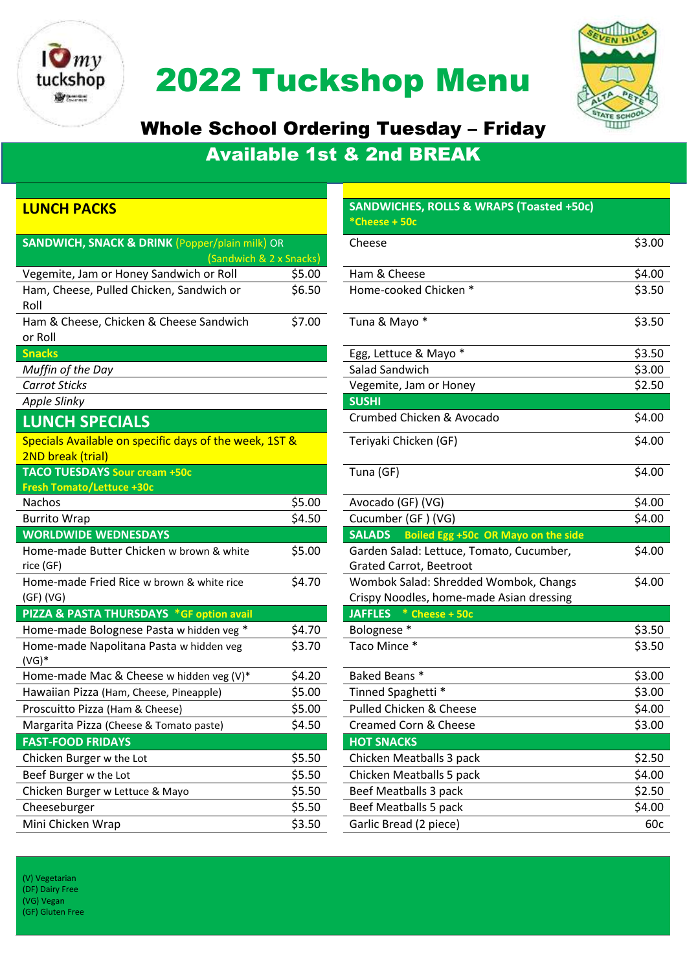

## 2022 Tuckshop Menu



### Whole School Ordering Tuesday – Friday

### Available 1st & 2nd BREAK

| <b>LUNCH PACKS</b>                                        |        | <b>SANDWICHES, ROLLS &amp; WRAPS (Toasted +50c)</b><br>$*$ Cheese + 50 $c$ |        |  |
|-----------------------------------------------------------|--------|----------------------------------------------------------------------------|--------|--|
| <b>SANDWICH, SNACK &amp; DRINK (Popper/plain milk) OR</b> |        | Cheese                                                                     | \$3.00 |  |
| (Sandwich & 2 x Snacks)                                   |        |                                                                            |        |  |
| Vegemite, Jam or Honey Sandwich or Roll                   | \$5.00 | Ham & Cheese                                                               | \$4.00 |  |
| Ham, Cheese, Pulled Chicken, Sandwich or                  | \$6.50 | Home-cooked Chicken *                                                      | \$3.50 |  |
| Roll                                                      |        |                                                                            |        |  |
| Ham & Cheese, Chicken & Cheese Sandwich                   | \$7.00 | Tuna & Mayo *                                                              | \$3.50 |  |
| or Roll                                                   |        |                                                                            |        |  |
| <b>Snacks</b>                                             |        | Egg, Lettuce & Mayo *                                                      | \$3.50 |  |
| Muffin of the Day                                         |        | Salad Sandwich                                                             | \$3.00 |  |
| <b>Carrot Sticks</b>                                      |        | Vegemite, Jam or Honey                                                     | \$2.50 |  |
| Apple Slinky                                              |        | <b>SUSHI</b>                                                               |        |  |
| <b>LUNCH SPECIALS</b>                                     |        | Crumbed Chicken & Avocado                                                  | \$4.00 |  |
| Specials Available on specific days of the week, 1ST &    |        | Teriyaki Chicken (GF)                                                      | \$4.00 |  |
| 2ND break (trial)                                         |        |                                                                            |        |  |
| <b>TACO TUESDAYS Sour cream +50c</b>                      |        | Tuna (GF)                                                                  | \$4.00 |  |
| Fresh Tomato/Lettuce +30c                                 |        |                                                                            |        |  |
| Nachos                                                    | \$5.00 | Avocado (GF) (VG)                                                          | \$4.00 |  |
| <b>Burrito Wrap</b>                                       | \$4.50 | Cucumber (GF) (VG)                                                         | \$4.00 |  |
| <b>WORLDWIDE WEDNESDAYS</b>                               |        | SALADS Boiled Egg +50c OR Mayo on the side                                 |        |  |
| Home-made Butter Chicken w brown & white                  | \$5.00 | Garden Salad: Lettuce, Tomato, Cucumber,                                   | \$4.00 |  |
| rice (GF)                                                 |        | Grated Carrot, Beetroot                                                    |        |  |
| Home-made Fried Rice w brown & white rice                 | \$4.70 | Wombok Salad: Shredded Wombok, Changs                                      | \$4.00 |  |
| $(GF)$ (VG)                                               |        | Crispy Noodles, home-made Asian dressing                                   |        |  |
| PIZZA & PASTA THURSDAYS *GF option avail                  |        | JAFFLES * Cheese + 50c                                                     |        |  |
| Home-made Bolognese Pasta w hidden veg *                  | \$4.70 | Bolognese*                                                                 | \$3.50 |  |
| Home-made Napolitana Pasta w hidden veg                   | \$3.70 | Taco Mince *                                                               | \$3.50 |  |
| $(VG)^*$                                                  | \$4.20 | Baked Beans *                                                              | \$3.00 |  |
| Home-made Mac & Cheese w hidden veg (V)*                  | \$5.00 | Tinned Spaghetti *                                                         | \$3.00 |  |
| Hawaiian Pizza (Ham, Cheese, Pineapple)                   | \$5.00 | Pulled Chicken & Cheese                                                    | \$4.00 |  |
| Proscuitto Pizza (Ham & Cheese)                           |        |                                                                            |        |  |
| Margarita Pizza (Cheese & Tomato paste)                   | \$4.50 | Creamed Corn & Cheese                                                      | \$3.00 |  |
| <b>FAST-FOOD FRIDAYS</b>                                  |        | <b>HOT SNACKS</b>                                                          |        |  |
| Chicken Burger w the Lot                                  | \$5.50 | Chicken Meatballs 3 pack                                                   | \$2.50 |  |
| Beef Burger w the Lot                                     | \$5.50 | Chicken Meatballs 5 pack                                                   | \$4.00 |  |
| Chicken Burger w Lettuce & Mayo                           | \$5.50 | Beef Meatballs 3 pack                                                      | \$2.50 |  |
| Cheeseburger                                              | \$5.50 | Beef Meatballs 5 pack                                                      | \$4.00 |  |
| Mini Chicken Wrap                                         | \$3.50 | Garlic Bread (2 piece)                                                     | 60c    |  |